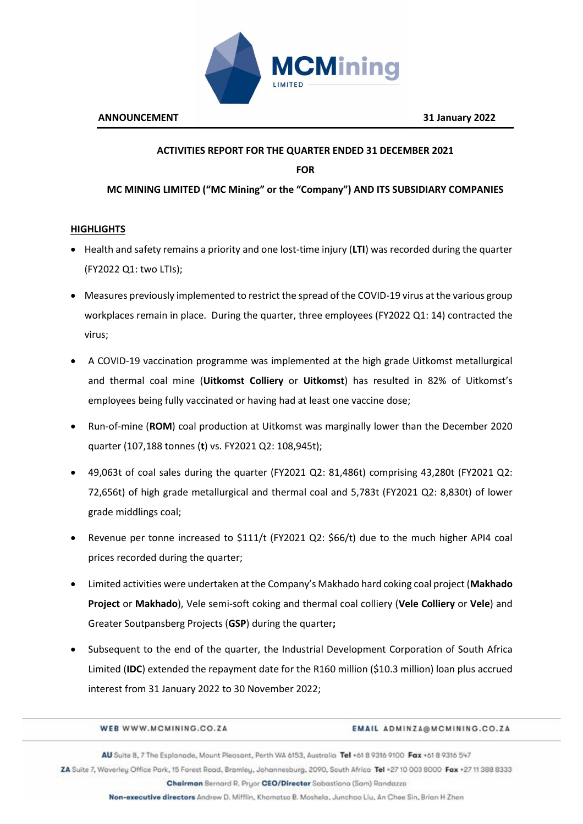

# **ACTIVITIES REPORT FOR THE QUARTER ENDED 31 DECEMBER 2021**

**FOR** 

**MC MINING LIMITED ("MC Mining" or the "Company") AND ITS SUBSIDIARY COMPANIES** 

## **HIGHLIGHTS**

- Health and safety remains a priority and one lost-time injury (**LTI**) was recorded during the quarter (FY2022 Q1: two LTIs);
- Measures previously implemented to restrict the spread of the COVID-19 virus at the various group workplaces remain in place. During the quarter, three employees (FY2022 Q1: 14) contracted the virus;
- A COVID-19 vaccination programme was implemented at the high grade Uitkomst metallurgical and thermal coal mine (**Uitkomst Colliery** or **Uitkomst**) has resulted in 82% of Uitkomst's employees being fully vaccinated or having had at least one vaccine dose;
- Run-of-mine (**ROM**) coal production at Uitkomst was marginally lower than the December 2020 quarter (107,188 tonnes (**t**) vs. FY2021 Q2: 108,945t);
- 49,063t of coal sales during the quarter (FY2021 Q2: 81,486t) comprising 43,280t (FY2021 Q2: 72,656t) of high grade metallurgical and thermal coal and 5,783t (FY2021 Q2: 8,830t) of lower grade middlings coal;
- Revenue per tonne increased to \$111/t (FY2021 Q2: \$66/t) due to the much higher API4 coal prices recorded during the quarter;
- Limited activities were undertaken at the Company's Makhado hard coking coal project (**Makhado Project** or **Makhado**), Vele semi-soft coking and thermal coal colliery (**Vele Colliery** or **Vele**) and Greater Soutpansberg Projects (**GSP**) during the quarter**;**
- Subsequent to the end of the quarter, the Industrial Development Corporation of South Africa Limited (**IDC**) extended the repayment date for the R160 million (\$10.3 million) loan plus accrued interest from 31 January 2022 to 30 November 2022;

| WEB WWW.MCMINING.CO.ZA | <b>EMAIL ADMINZA@MCMINING.CO.ZA</b> |
|------------------------|-------------------------------------|
|                        |                                     |

AU Suite 8, 7 The Esplanade, Mount Pleasant, Perth WA 6153, Australia Tel +61 8 9316 9100 Fax +61 8 9316 547 ZA Suite 7, Waverley Office Park, 15 Forest Road, Bramley, Johannesburg, 2090, South Africa Tel +27 10 003 8000 Fax +27 11 388 8333

Chairman Bernard R. Pryor CEO/Director Sabastiano (Sam) Randazzo

Non-executive directors Andrew D. Mifflin, Khamatso B. Moshela, Junchao Liu, An Chee Sin, Brian H Zhen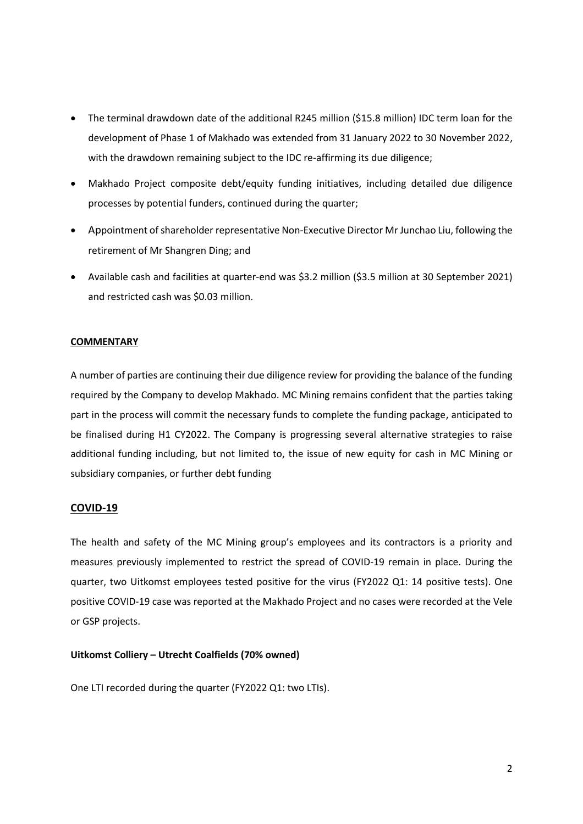- The terminal drawdown date of the additional R245 million (\$15.8 million) IDC term loan for the development of Phase 1 of Makhado was extended from 31 January 2022 to 30 November 2022, with the drawdown remaining subject to the IDC re-affirming its due diligence;
- Makhado Project composite debt/equity funding initiatives, including detailed due diligence processes by potential funders, continued during the quarter;
- Appointment of shareholder representative Non-Executive Director Mr Junchao Liu, following the retirement of Mr Shangren Ding; and
- Available cash and facilities at quarter-end was \$3.2 million (\$3.5 million at 30 September 2021) and restricted cash was \$0.03 million.

## **COMMENTARY**

A number of parties are continuing their due diligence review for providing the balance of the funding required by the Company to develop Makhado. MC Mining remains confident that the parties taking part in the process will commit the necessary funds to complete the funding package, anticipated to be finalised during H1 CY2022. The Company is progressing several alternative strategies to raise additional funding including, but not limited to, the issue of new equity for cash in MC Mining or subsidiary companies, or further debt funding

## **COVID-19**

The health and safety of the MC Mining group's employees and its contractors is a priority and measures previously implemented to restrict the spread of COVID-19 remain in place. During the quarter, two Uitkomst employees tested positive for the virus (FY2022 Q1: 14 positive tests). One positive COVID-19 case was reported at the Makhado Project and no cases were recorded at the Vele or GSP projects.

### **Uitkomst Colliery – Utrecht Coalfields (70% owned)**

One LTI recorded during the quarter (FY2022 Q1: two LTIs).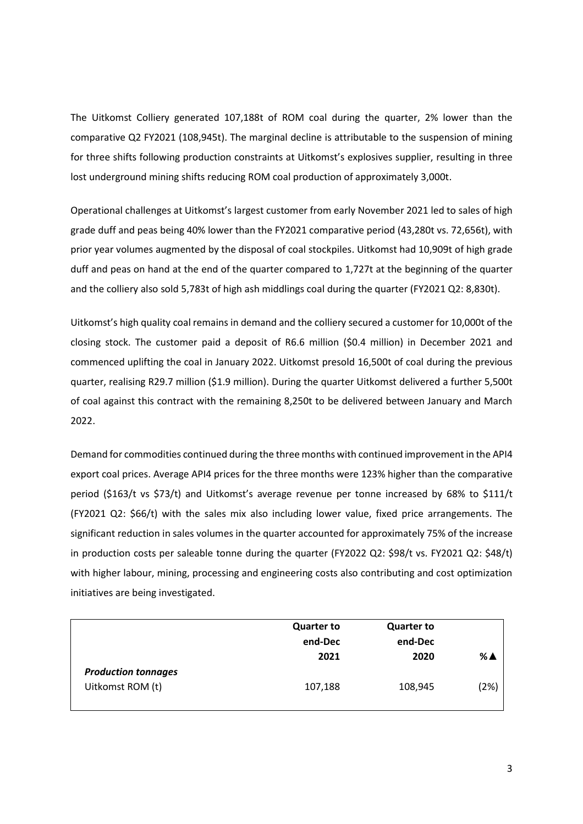The Uitkomst Colliery generated 107,188t of ROM coal during the quarter, 2% lower than the comparative Q2 FY2021 (108,945t). The marginal decline is attributable to the suspension of mining for three shifts following production constraints at Uitkomst's explosives supplier, resulting in three lost underground mining shifts reducing ROM coal production of approximately 3,000t.

Operational challenges at Uitkomst's largest customer from early November 2021 led to sales of high grade duff and peas being 40% lower than the FY2021 comparative period (43,280t vs. 72,656t), with prior year volumes augmented by the disposal of coal stockpiles. Uitkomst had 10,909t of high grade duff and peas on hand at the end of the quarter compared to 1,727t at the beginning of the quarter and the colliery also sold 5,783t of high ash middlings coal during the quarter (FY2021 Q2: 8,830t).

Uitkomst's high quality coal remains in demand and the colliery secured a customer for 10,000t of the closing stock. The customer paid a deposit of R6.6 million (\$0.4 million) in December 2021 and commenced uplifting the coal in January 2022. Uitkomst presold 16,500t of coal during the previous quarter, realising R29.7 million (\$1.9 million). During the quarter Uitkomst delivered a further 5,500t of coal against this contract with the remaining 8,250t to be delivered between January and March 2022.

Demand for commodities continued during the three months with continued improvement in the API4 export coal prices. Average API4 prices for the three months were 123% higher than the comparative period (\$163/t vs \$73/t) and Uitkomst's average revenue per tonne increased by 68% to \$111/t (FY2021 Q2: \$66/t) with the sales mix also including lower value, fixed price arrangements. The significant reduction in sales volumes in the quarter accounted for approximately 75% of the increase in production costs per saleable tonne during the quarter (FY2022 Q2: \$98/t vs. FY2021 Q2: \$48/t) with higher labour, mining, processing and engineering costs also contributing and cost optimization initiatives are being investigated.

|                                                | <b>Quarter to</b><br>end-Dec<br>2021 | <b>Quarter to</b><br>end-Dec<br>2020 | %≜   |
|------------------------------------------------|--------------------------------------|--------------------------------------|------|
| <b>Production tonnages</b><br>Uitkomst ROM (t) | 107,188                              | 108,945                              | (2%) |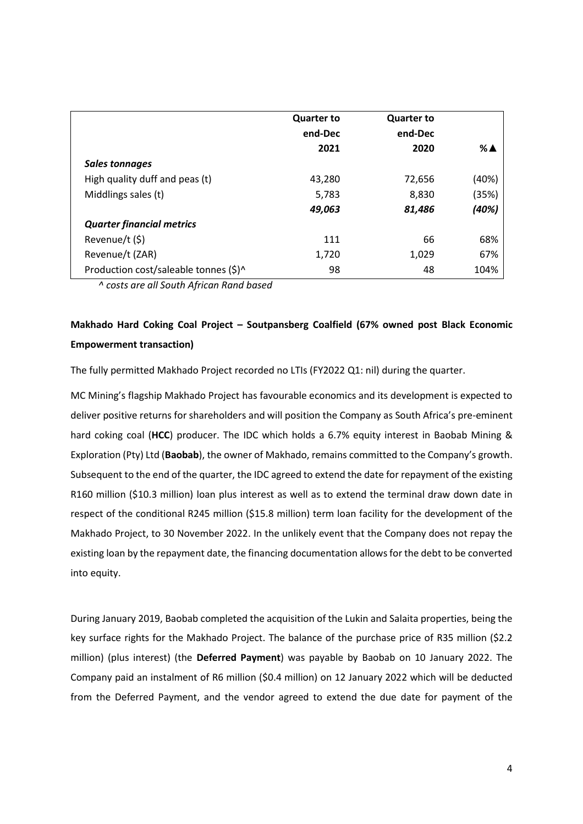|                                       | <b>Quarter to</b><br>end-Dec<br>2021 | <b>Quarter to</b><br>end-Dec<br>2020 | % A   |
|---------------------------------------|--------------------------------------|--------------------------------------|-------|
| <b>Sales tonnages</b>                 |                                      |                                      |       |
| High quality duff and peas (t)        | 43,280                               | 72,656                               | (40%) |
| Middlings sales (t)                   | 5,783                                | 8,830                                | (35%) |
|                                       | 49,063                               | 81,486                               | (40%) |
| <b>Quarter financial metrics</b>      |                                      |                                      |       |
| Revenue/t (\$)                        | 111                                  | 66                                   | 68%   |
| Revenue/t (ZAR)                       | 1,720                                | 1,029                                | 67%   |
| Production cost/saleable tonnes (\$)^ | 98                                   | 48                                   | 104%  |

*^ costs are all South African Rand based*

# **Makhado Hard Coking Coal Project – Soutpansberg Coalfield (67% owned post Black Economic Empowerment transaction)**

The fully permitted Makhado Project recorded no LTIs (FY2022 Q1: nil) during the quarter.

MC Mining's flagship Makhado Project has favourable economics and its development is expected to deliver positive returns for shareholders and will position the Company as South Africa's pre-eminent hard coking coal (**HCC**) producer. The IDC which holds a 6.7% equity interest in Baobab Mining & Exploration (Pty) Ltd (**Baobab**), the owner of Makhado, remains committed to the Company's growth. Subsequent to the end of the quarter, the IDC agreed to extend the date for repayment of the existing R160 million (\$10.3 million) loan plus interest as well as to extend the terminal draw down date in respect of the conditional R245 million (\$15.8 million) term loan facility for the development of the Makhado Project, to 30 November 2022. In the unlikely event that the Company does not repay the existing loan by the repayment date, the financing documentation allows for the debt to be converted into equity.

During January 2019, Baobab completed the acquisition of the Lukin and Salaita properties, being the key surface rights for the Makhado Project. The balance of the purchase price of R35 million (\$2.2 million) (plus interest) (the **Deferred Payment**) was payable by Baobab on 10 January 2022. The Company paid an instalment of R6 million (\$0.4 million) on 12 January 2022 which will be deducted from the Deferred Payment, and the vendor agreed to extend the due date for payment of the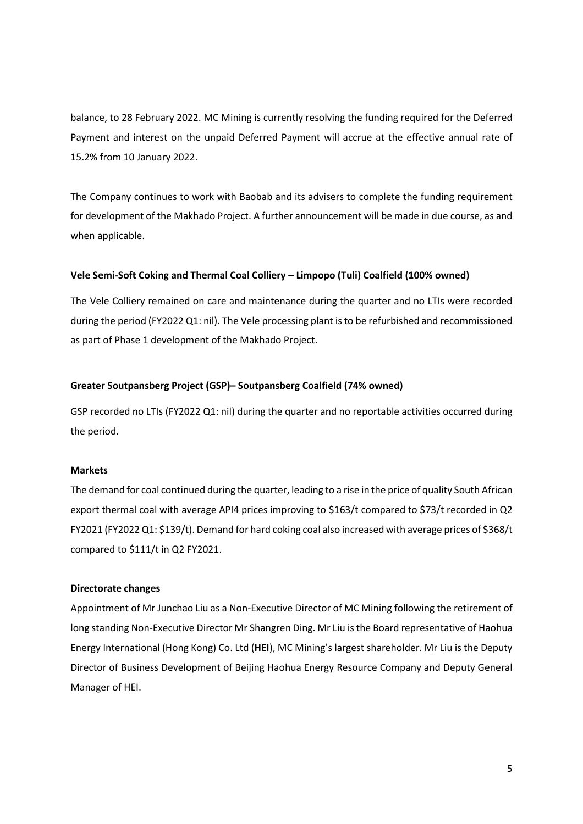balance, to 28 February 2022. MC Mining is currently resolving the funding required for the Deferred Payment and interest on the unpaid Deferred Payment will accrue at the effective annual rate of 15.2% from 10 January 2022.

The Company continues to work with Baobab and its advisers to complete the funding requirement for development of the Makhado Project. A further announcement will be made in due course, as and when applicable.

## **Vele Semi-Soft Coking and Thermal Coal Colliery – Limpopo (Tuli) Coalfield (100% owned)**

The Vele Colliery remained on care and maintenance during the quarter and no LTIs were recorded during the period (FY2022 Q1: nil). The Vele processing plant is to be refurbished and recommissioned as part of Phase 1 development of the Makhado Project.

#### **Greater Soutpansberg Project (GSP)– Soutpansberg Coalfield (74% owned)**

GSP recorded no LTIs (FY2022 Q1: nil) during the quarter and no reportable activities occurred during the period.

#### **Markets**

The demand for coal continued during the quarter, leading to a rise in the price of quality South African export thermal coal with average API4 prices improving to \$163/t compared to \$73/t recorded in Q2 FY2021 (FY2022 Q1: \$139/t). Demand for hard coking coal also increased with average prices of \$368/t compared to \$111/t in Q2 FY2021.

### **Directorate changes**

Appointment of Mr Junchao Liu as a Non-Executive Director of MC Mining following the retirement of long standing Non-Executive Director Mr Shangren Ding. Mr Liu is the Board representative of Haohua Energy International (Hong Kong) Co. Ltd (**HEI**), MC Mining's largest shareholder. Mr Liu is the Deputy Director of Business Development of Beijing Haohua Energy Resource Company and Deputy General Manager of HEI.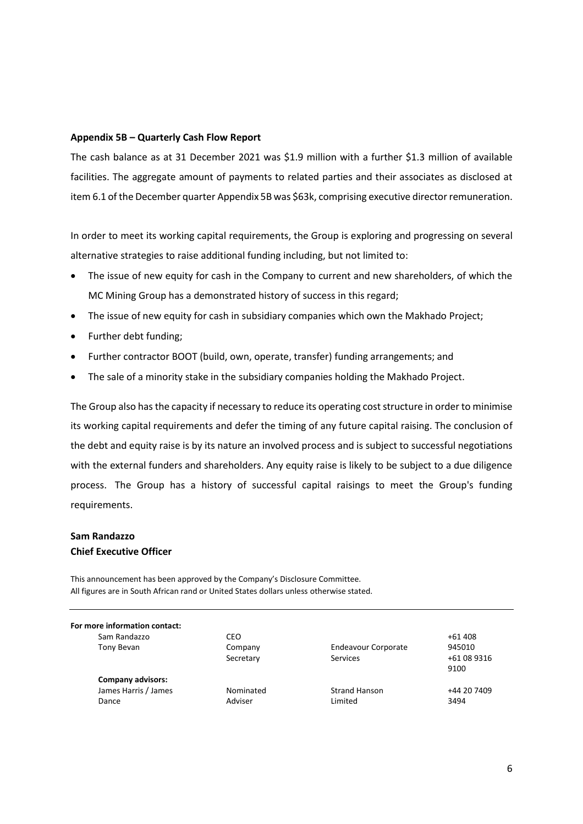### **Appendix 5B – Quarterly Cash Flow Report**

The cash balance as at 31 December 2021 was \$1.9 million with a further \$1.3 million of available facilities. The aggregate amount of payments to related parties and their associates as disclosed at item 6.1 of the December quarter Appendix 5B was \$63k, comprising executive director remuneration.

In order to meet its working capital requirements, the Group is exploring and progressing on several alternative strategies to raise additional funding including, but not limited to:

- The issue of new equity for cash in the Company to current and new shareholders, of which the MC Mining Group has a demonstrated history of success in this regard;
- The issue of new equity for cash in subsidiary companies which own the Makhado Project;
- Further debt funding;
- Further contractor BOOT (build, own, operate, transfer) funding arrangements; and
- The sale of a minority stake in the subsidiary companies holding the Makhado Project.

The Group also has the capacity if necessary to reduce its operating cost structure in order to minimise its working capital requirements and defer the timing of any future capital raising. The conclusion of the debt and equity raise is by its nature an involved process and is subject to successful negotiations with the external funders and shareholders. Any equity raise is likely to be subject to a due diligence process. The Group has a history of successful capital raisings to meet the Group's funding requirements.

# **Sam Randazzo Chief Executive Officer**

This announcement has been approved by the Company's Disclosure Committee. All figures are in South African rand or United States dollars unless otherwise stated.

| For more information contact: |           |                            |             |
|-------------------------------|-----------|----------------------------|-------------|
| Sam Randazzo                  | CEO       |                            | $+61408$    |
| Tony Bevan                    | Company   | <b>Endeavour Corporate</b> | 945010      |
|                               | Secretary | Services                   | +61 08 9316 |
|                               |           |                            | 9100        |
| <b>Company advisors:</b>      |           |                            |             |
| James Harris / James          | Nominated | <b>Strand Hanson</b>       | +44 20 7409 |
| Dance                         | Adviser   | Limited                    | 3494        |
|                               |           |                            |             |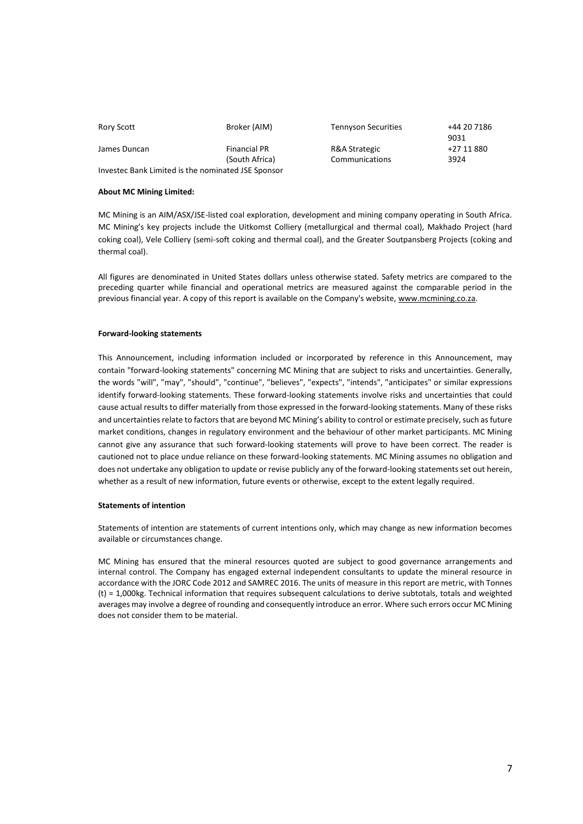| Rory Scott                                         | Broker (AIM)        | <b>Tennyson Securities</b> | +44 20 7186<br>9031 |
|----------------------------------------------------|---------------------|----------------------------|---------------------|
| James Duncan                                       | <b>Financial PR</b> | R&A Strategic              | +27 11 880          |
|                                                    | (South Africa)      | Communications             | 3924                |
| Investec Bank Limited is the nominated JSE Sponsor |                     |                            |                     |

#### **About MC Mining Limited:**

MC Mining is an AIM/ASX/JSE-listed coal exploration, development and mining company operating in South Africa. MC Mining's key projects include the Uitkomst Colliery (metallurgical and thermal coal), Makhado Project (hard coking coal), Vele Colliery (semi-soft coking and thermal coal), and the Greater Soutpansberg Projects (coking and thermal coal).

All figures are denominated in United States dollars unless otherwise stated. Safety metrics are compared to the preceding quarter while financial and operational metrics are measured against the comparable period in the previous financial year. A copy of this report is available on the Company's website[, www.mcmining.co.za.](http://www.mcmining.co.za/)

#### **Forward-looking statements**

This Announcement, including information included or incorporated by reference in this Announcement, may contain "forward-looking statements" concerning MC Mining that are subject to risks and uncertainties. Generally, the words "will", "may", "should", "continue", "believes", "expects", "intends", "anticipates" or similar expressions identify forward-looking statements. These forward-looking statements involve risks and uncertainties that could cause actual results to differ materially from those expressed in the forward-looking statements. Many of these risks and uncertainties relate to factors that are beyond MC Mining's ability to control or estimate precisely, such as future market conditions, changes in regulatory environment and the behaviour of other market participants. MC Mining cannot give any assurance that such forward-looking statements will prove to have been correct. The reader is cautioned not to place undue reliance on these forward-looking statements. MC Mining assumes no obligation and does not undertake any obligation to update or revise publicly any of the forward-looking statements set out herein, whether as a result of new information, future events or otherwise, except to the extent legally required.

#### **Statements of intention**

Statements of intention are statements of current intentions only, which may change as new information becomes available or circumstances change.

MC Mining has ensured that the mineral resources quoted are subject to good governance arrangements and internal control. The Company has engaged external independent consultants to update the mineral resource in accordance with the JORC Code 2012 and SAMREC 2016. The units of measure in this report are metric, with Tonnes (t) = 1,000kg. Technical information that requires subsequent calculations to derive subtotals, totals and weighted averages may involve a degree of rounding and consequently introduce an error. Where such errors occur MC Mining does not consider them to be material.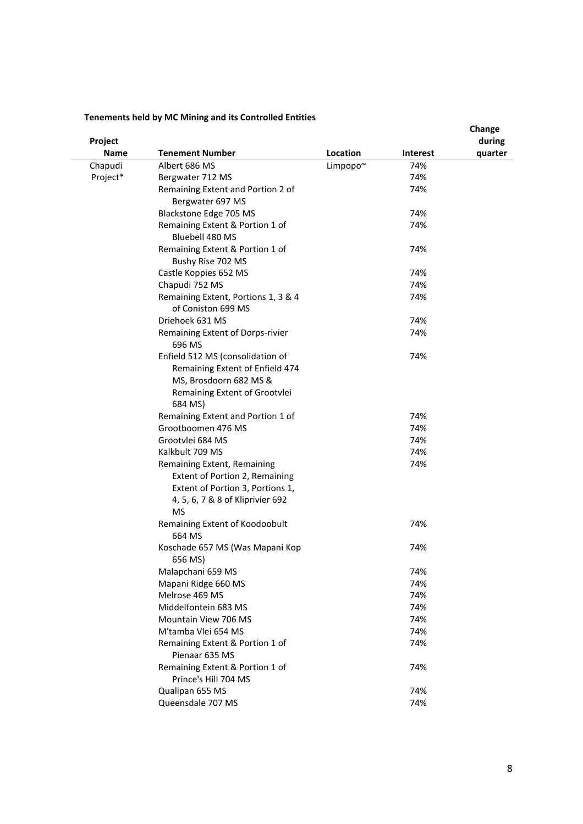## **Tenements held by MC Mining and its Controlled Entities**

|          |                                                           |          |          | Change  |
|----------|-----------------------------------------------------------|----------|----------|---------|
| Project  |                                                           |          |          | during  |
| Name     | <b>Tenement Number</b>                                    | Location | Interest | quarter |
| Chapudi  | Albert 686 MS                                             | Limpopo~ | 74%      |         |
| Project* | Bergwater 712 MS                                          |          | 74%      |         |
|          | Remaining Extent and Portion 2 of<br>Bergwater 697 MS     |          | 74%      |         |
|          | Blackstone Edge 705 MS                                    |          | 74%      |         |
|          | Remaining Extent & Portion 1 of<br>Bluebell 480 MS        |          | 74%      |         |
|          | Remaining Extent & Portion 1 of<br>Bushy Rise 702 MS      |          | 74%      |         |
|          | Castle Koppies 652 MS                                     |          | 74%      |         |
|          | Chapudi 752 MS                                            |          | 74%      |         |
|          | Remaining Extent, Portions 1, 3 & 4<br>of Coniston 699 MS |          | 74%      |         |
|          | Driehoek 631 MS                                           |          | 74%      |         |
|          |                                                           |          |          |         |
|          | Remaining Extent of Dorps-rivier<br>696 MS                |          | 74%      |         |
|          | Enfield 512 MS (consolidation of                          |          | 74%      |         |
|          | Remaining Extent of Enfield 474                           |          |          |         |
|          | MS, Brosdoorn 682 MS &                                    |          |          |         |
|          | Remaining Extent of Grootvlei<br>684 MS)                  |          |          |         |
|          | Remaining Extent and Portion 1 of                         |          | 74%      |         |
|          | Grootboomen 476 MS                                        |          | 74%      |         |
|          | Grootvlei 684 MS                                          |          | 74%      |         |
|          | Kalkbult 709 MS                                           |          | 74%      |         |
|          | Remaining Extent, Remaining                               |          | 74%      |         |
|          | Extent of Portion 2, Remaining                            |          |          |         |
|          | Extent of Portion 3, Portions 1,                          |          |          |         |
|          | 4, 5, 6, 7 & 8 of Kliprivier 692                          |          |          |         |
|          | <b>MS</b>                                                 |          |          |         |
|          | Remaining Extent of Koodoobult<br>664 MS                  |          | 74%      |         |
|          | Koschade 657 MS (Was Mapani Kop<br>656 MS)                |          | 74%      |         |
|          | Malapchani 659 MS                                         |          | 74%      |         |
|          | Mapani Ridge 660 MS                                       |          | 74%      |         |
|          | Melrose 469 MS                                            |          | 74%      |         |
|          | Middelfontein 683 MS                                      |          | 74%      |         |
|          | Mountain View 706 MS                                      |          | 74%      |         |
|          | M'tamba Vlei 654 MS                                       |          | 74%      |         |
|          | Remaining Extent & Portion 1 of<br>Pienaar 635 MS         |          | 74%      |         |
|          | Remaining Extent & Portion 1 of<br>Prince's Hill 704 MS   |          | 74%      |         |
|          |                                                           |          |          |         |
|          | Qualipan 655 MS                                           |          | 74%      |         |
|          | Queensdale 707 MS                                         |          | 74%      |         |
|          |                                                           |          |          |         |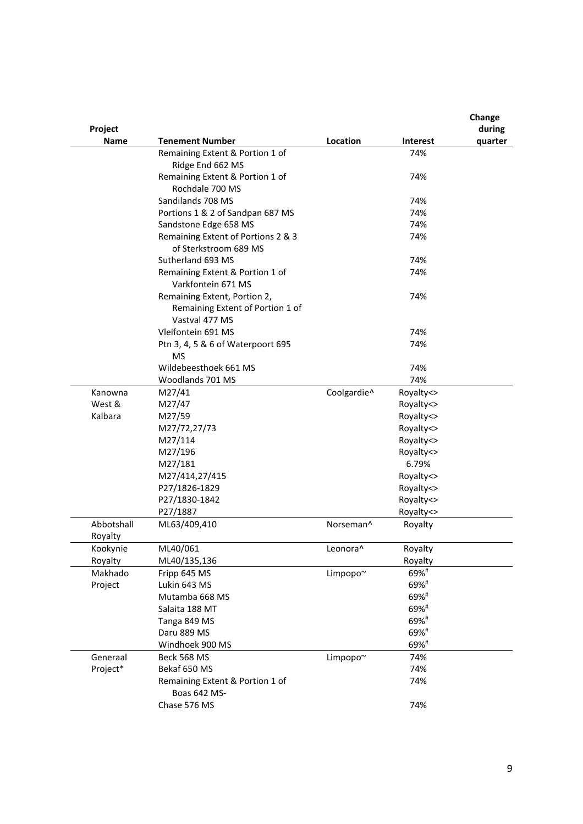|                       |                                                     |                      |                        | Change  |
|-----------------------|-----------------------------------------------------|----------------------|------------------------|---------|
| Project               |                                                     |                      |                        | during  |
| Name                  | Tenement Number                                     | Location             | <b>Interest</b><br>74% | quarter |
|                       | Remaining Extent & Portion 1 of<br>Ridge End 662 MS |                      |                        |         |
|                       | Remaining Extent & Portion 1 of                     |                      | 74%                    |         |
|                       | Rochdale 700 MS                                     |                      |                        |         |
|                       | Sandilands 708 MS                                   |                      | 74%                    |         |
|                       | Portions 1 & 2 of Sandpan 687 MS                    |                      | 74%                    |         |
|                       | Sandstone Edge 658 MS                               |                      | 74%                    |         |
|                       | Remaining Extent of Portions 2 & 3                  |                      | 74%                    |         |
|                       | of Sterkstroom 689 MS                               |                      |                        |         |
|                       | Sutherland 693 MS                                   |                      | 74%                    |         |
|                       | Remaining Extent & Portion 1 of                     |                      | 74%                    |         |
|                       | Varkfontein 671 MS                                  |                      |                        |         |
|                       | Remaining Extent, Portion 2,                        |                      | 74%                    |         |
|                       | Remaining Extent of Portion 1 of                    |                      |                        |         |
|                       | Vastval 477 MS                                      |                      |                        |         |
|                       | Vleifontein 691 MS                                  |                      | 74%                    |         |
|                       | Ptn 3, 4, 5 & 6 of Waterpoort 695                   |                      | 74%                    |         |
|                       | MS                                                  |                      |                        |         |
|                       | Wildebeesthoek 661 MS                               |                      | 74%                    |         |
|                       | Woodlands 701 MS                                    |                      | 74%                    |         |
| Kanowna               | M27/41                                              | Coolgardie^          | Royalty<>              |         |
| West &                | M27/47                                              |                      | Royalty<>              |         |
| Kalbara               | M27/59                                              |                      | Royalty<>              |         |
|                       | M27/72,27/73                                        |                      | Royalty<>              |         |
|                       | M27/114                                             |                      | Royalty<>              |         |
|                       | M27/196                                             |                      | Royalty<>              |         |
|                       | M27/181                                             |                      | 6.79%                  |         |
|                       | M27/414,27/415                                      |                      | Royalty<>              |         |
|                       | P27/1826-1829                                       |                      | Royalty<>              |         |
|                       | P27/1830-1842                                       |                      | Royalty<>              |         |
|                       | P27/1887                                            |                      | Royalty<>              |         |
| Abbotshall<br>Royalty | ML63/409,410                                        | Norseman^            | Royalty                |         |
| Kookynie              | ML40/061                                            | Leonora <sup>^</sup> | Royalty                |         |
| Royalty               | ML40/135,136                                        |                      | Royalty                |         |
| Makhado               | Fripp 645 MS                                        | Limpopo~             | 69%#                   |         |
| Project               | Lukin 643 MS                                        |                      | 69%#                   |         |
|                       | Mutamba 668 MS                                      |                      | 69%#                   |         |
|                       | Salaita 188 MT                                      |                      | 69%#                   |         |
|                       | Tanga 849 MS                                        |                      | 69%#                   |         |
|                       | Daru 889 MS                                         |                      | 69%#                   |         |
|                       | Windhoek 900 MS                                     |                      | 69%#                   |         |
| Generaal              | Beck 568 MS                                         | Limpopo~             | 74%                    |         |
| Project*              | Bekaf 650 MS                                        |                      | 74%                    |         |
|                       | Remaining Extent & Portion 1 of                     |                      | 74%                    |         |
|                       | Boas 642 MS-                                        |                      |                        |         |
|                       | Chase 576 MS                                        |                      | 74%                    |         |
|                       |                                                     |                      |                        |         |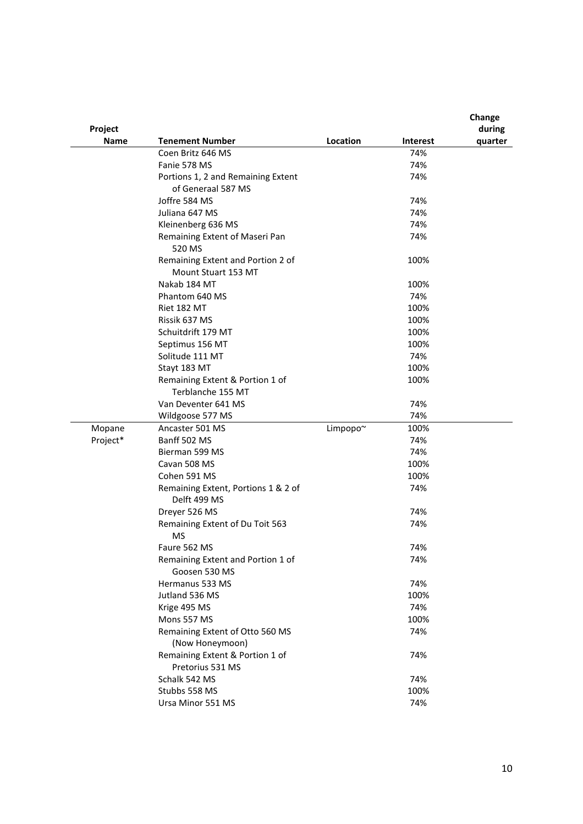| Project     |                                                          |          |                 | Change<br>during |
|-------------|----------------------------------------------------------|----------|-----------------|------------------|
| <b>Name</b> | <b>Tenement Number</b>                                   | Location | <b>Interest</b> | quarter          |
|             | Coen Britz 646 MS                                        |          | 74%             |                  |
|             | Fanie 578 MS                                             |          | 74%             |                  |
|             | Portions 1, 2 and Remaining Extent                       |          | 74%             |                  |
|             | of Generaal 587 MS                                       |          |                 |                  |
|             | Joffre 584 MS                                            |          | 74%             |                  |
|             | Juliana 647 MS                                           |          | 74%             |                  |
|             | Kleinenberg 636 MS                                       |          | 74%             |                  |
|             | Remaining Extent of Maseri Pan<br>520 MS                 |          | 74%             |                  |
|             | Remaining Extent and Portion 2 of<br>Mount Stuart 153 MT |          | 100%            |                  |
|             | Nakab 184 MT                                             |          | 100%            |                  |
|             | Phantom 640 MS                                           |          | 74%             |                  |
|             | Riet 182 MT                                              |          | 100%            |                  |
|             | Rissik 637 MS                                            |          | 100%            |                  |
|             | Schuitdrift 179 MT                                       |          | 100%            |                  |
|             | Septimus 156 MT                                          |          | 100%            |                  |
|             | Solitude 111 MT                                          |          | 74%             |                  |
|             | Stayt 183 MT                                             |          | 100%            |                  |
|             | Remaining Extent & Portion 1 of                          |          | 100%            |                  |
|             | Terblanche 155 MT                                        |          |                 |                  |
|             | Van Deventer 641 MS                                      |          | 74%             |                  |
|             | Wildgoose 577 MS                                         |          | 74%             |                  |
| Mopane      | Ancaster 501 MS                                          | Limpopo~ | 100%            |                  |
| Project*    | Banff 502 MS                                             |          | 74%             |                  |
|             | Bierman 599 MS                                           |          | 74%             |                  |
|             | Cavan 508 MS                                             |          | 100%            |                  |
|             | Cohen 591 MS                                             |          | 100%            |                  |
|             | Remaining Extent, Portions 1 & 2 of<br>Delft 499 MS      |          | 74%             |                  |
|             | Dreyer 526 MS                                            |          | 74%             |                  |
|             | Remaining Extent of Du Toit 563<br><b>MS</b>             |          | 74%             |                  |
|             | Faure 562 MS                                             |          | 74%             |                  |
|             | Remaining Extent and Portion 1 of<br>Goosen 530 MS       |          | 74%             |                  |
|             | Hermanus 533 MS                                          |          | 74%             |                  |
|             | Jutland 536 MS                                           |          | 100%            |                  |
|             | Krige 495 MS                                             |          | 74%             |                  |
|             | Mons 557 MS                                              |          | 100%            |                  |
|             | Remaining Extent of Otto 560 MS<br>(Now Honeymoon)       |          | 74%             |                  |
|             | Remaining Extent & Portion 1 of<br>Pretorius 531 MS      |          | 74%             |                  |
|             | Schalk 542 MS                                            |          | 74%             |                  |
|             | Stubbs 558 MS                                            |          | 100%            |                  |
|             | Ursa Minor 551 MS                                        |          | 74%             |                  |
|             |                                                          |          |                 |                  |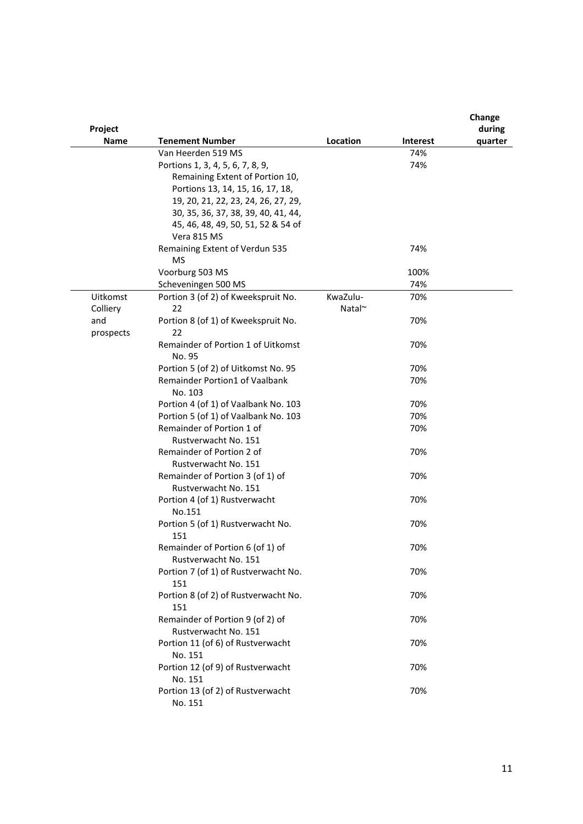| Project     |                                                          |              |                 | Change<br>during |
|-------------|----------------------------------------------------------|--------------|-----------------|------------------|
| <b>Name</b> | <b>Tenement Number</b>                                   | Location     | <b>Interest</b> | quarter          |
|             | Van Heerden 519 MS                                       |              | 74%             |                  |
|             | Portions 1, 3, 4, 5, 6, 7, 8, 9,                         |              | 74%             |                  |
|             | Remaining Extent of Portion 10,                          |              |                 |                  |
|             | Portions 13, 14, 15, 16, 17, 18,                         |              |                 |                  |
|             | 19, 20, 21, 22, 23, 24, 26, 27, 29,                      |              |                 |                  |
|             | 30, 35, 36, 37, 38, 39, 40, 41, 44,                      |              |                 |                  |
|             | 45, 46, 48, 49, 50, 51, 52 & 54 of                       |              |                 |                  |
|             | Vera 815 MS                                              |              |                 |                  |
|             | Remaining Extent of Verdun 535                           |              | 74%             |                  |
|             | <b>MS</b>                                                |              |                 |                  |
|             | Voorburg 503 MS                                          |              | 100%            |                  |
|             | Scheveningen 500 MS                                      |              | 74%             |                  |
| Uitkomst    | Portion 3 (of 2) of Kweekspruit No.                      | KwaZulu-     | 70%             |                  |
| Colliery    | 22                                                       | Natal $\sim$ |                 |                  |
| and         | Portion 8 (of 1) of Kweekspruit No.                      |              | 70%             |                  |
| prospects   | 22                                                       |              |                 |                  |
|             | Remainder of Portion 1 of Uitkomst                       |              | 70%             |                  |
|             | No. 95                                                   |              |                 |                  |
|             | Portion 5 (of 2) of Uitkomst No. 95                      |              | 70%             |                  |
|             | <b>Remainder Portion1 of Vaalbank</b><br>No. 103         |              | 70%             |                  |
|             | Portion 4 (of 1) of Vaalbank No. 103                     |              | 70%             |                  |
|             | Portion 5 (of 1) of Vaalbank No. 103                     |              | 70%             |                  |
|             | Remainder of Portion 1 of                                |              | 70%             |                  |
|             | Rustverwacht No. 151                                     |              |                 |                  |
|             | Remainder of Portion 2 of                                |              | 70%             |                  |
|             | Rustverwacht No. 151                                     |              |                 |                  |
|             | Remainder of Portion 3 (of 1) of                         |              | 70%             |                  |
|             | Rustverwacht No. 151                                     |              |                 |                  |
|             | Portion 4 (of 1) Rustverwacht                            |              | 70%             |                  |
|             | No.151                                                   |              |                 |                  |
|             | Portion 5 (of 1) Rustverwacht No.<br>151                 |              | 70%             |                  |
|             | Remainder of Portion 6 (of 1) of<br>Rustverwacht No. 151 |              | 70%             |                  |
|             | Portion 7 (of 1) of Rustverwacht No.<br>151              |              | 70%             |                  |
|             | Portion 8 (of 2) of Rustverwacht No.<br>151              |              | 70%             |                  |
|             | Remainder of Portion 9 (of 2) of<br>Rustverwacht No. 151 |              | 70%             |                  |
|             | Portion 11 (of 6) of Rustverwacht<br>No. 151             |              | 70%             |                  |
|             | Portion 12 (of 9) of Rustverwacht<br>No. 151             |              | 70%             |                  |
|             | Portion 13 (of 2) of Rustverwacht<br>No. 151             |              | 70%             |                  |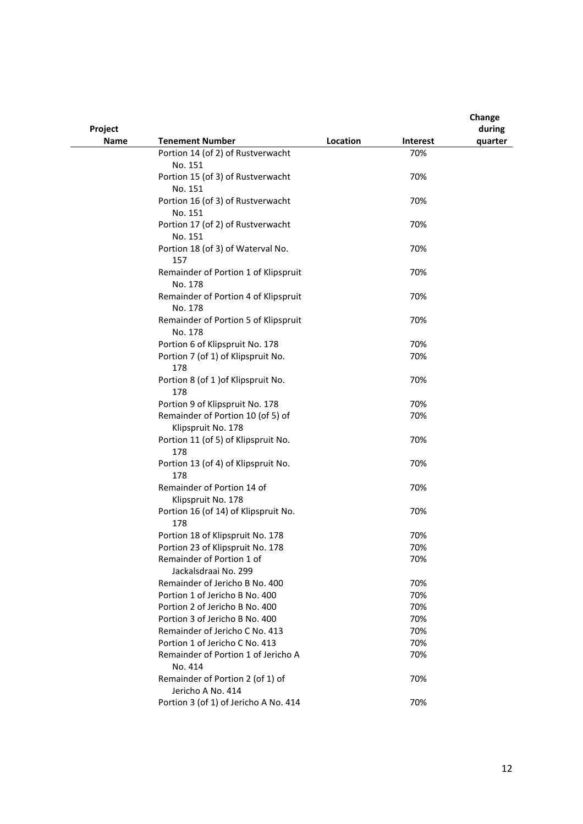| Project     |                                                                  |          |            | Change<br>during |
|-------------|------------------------------------------------------------------|----------|------------|------------------|
| <b>Name</b> | <b>Tenement Number</b>                                           | Location | Interest   | quarter          |
|             | Portion 14 (of 2) of Rustverwacht                                |          | 70%        |                  |
|             | No. 151                                                          |          |            |                  |
|             | Portion 15 (of 3) of Rustverwacht                                |          | 70%        |                  |
|             | No. 151                                                          |          |            |                  |
|             | Portion 16 (of 3) of Rustverwacht                                |          | 70%        |                  |
|             | No. 151                                                          |          |            |                  |
|             | Portion 17 (of 2) of Rustverwacht                                |          | 70%        |                  |
|             | No. 151                                                          |          |            |                  |
|             | Portion 18 (of 3) of Waterval No.                                |          | 70%        |                  |
|             | 157                                                              |          |            |                  |
|             | Remainder of Portion 1 of Klipspruit<br>No. 178                  |          | 70%        |                  |
|             | Remainder of Portion 4 of Klipspruit                             |          | 70%        |                  |
|             | No. 178                                                          |          |            |                  |
|             | Remainder of Portion 5 of Klipspruit                             |          | 70%        |                  |
|             | No. 178                                                          |          |            |                  |
|             | Portion 6 of Klipspruit No. 178                                  |          | 70%        |                  |
|             | Portion 7 (of 1) of Klipspruit No.                               |          | 70%        |                  |
|             | 178                                                              |          |            |                  |
|             | Portion 8 (of 1 ) of Klipspruit No.                              |          | 70%        |                  |
|             | 178                                                              |          |            |                  |
|             | Portion 9 of Klipspruit No. 178                                  |          | 70%        |                  |
|             | Remainder of Portion 10 (of 5) of                                |          | 70%        |                  |
|             | Klipspruit No. 178                                               |          |            |                  |
|             | Portion 11 (of 5) of Klipspruit No.                              |          | 70%        |                  |
|             | 178                                                              |          |            |                  |
|             | Portion 13 (of 4) of Klipspruit No.                              |          | 70%        |                  |
|             | 178                                                              |          |            |                  |
|             | Remainder of Portion 14 of                                       |          | 70%        |                  |
|             | Klipspruit No. 178                                               |          |            |                  |
|             | Portion 16 (of 14) of Klipspruit No.                             |          | 70%        |                  |
|             | 178                                                              |          |            |                  |
|             | Portion 18 of Klipspruit No. 178                                 |          | 70%        |                  |
|             | Portion 23 of Klipspruit No. 178                                 |          | 70%        |                  |
|             | Remainder of Portion 1 of                                        |          | 70%        |                  |
|             | Jackalsdraai No. 299                                             |          |            |                  |
|             | Remainder of Jericho B No. 400                                   |          | 70%        |                  |
|             | Portion 1 of Jericho B No. 400<br>Portion 2 of Jericho B No. 400 |          | 70%<br>70% |                  |
|             | Portion 3 of Jericho B No. 400                                   |          | 70%        |                  |
|             | Remainder of Jericho C No. 413                                   |          | 70%        |                  |
|             | Portion 1 of Jericho C No. 413                                   |          | 70%        |                  |
|             | Remainder of Portion 1 of Jericho A                              |          | 70%        |                  |
|             | No. 414                                                          |          |            |                  |
|             | Remainder of Portion 2 (of 1) of                                 |          | 70%        |                  |
|             | Jericho A No. 414                                                |          |            |                  |
|             | Portion 3 (of 1) of Jericho A No. 414                            |          | 70%        |                  |
|             |                                                                  |          |            |                  |